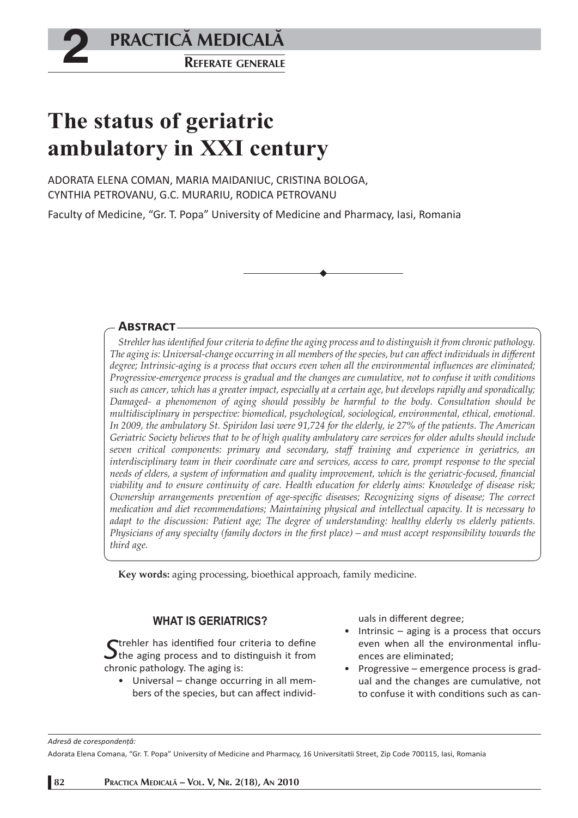**2 PRACTICĂ MEDICALĂ**<br>REFERATE GENERALE **PRACTICÅ MEDICALÅ**

# **The status of geriatric ambulatory in XXI century**

ADORATA ELENA COMAN, MARIA MAIDANIUC, CRISTINA BOLOGA, CYNTHIA PETROVANU, G.C. MURARIU, RODICA PETROVANU

Faculty of Medicine, "Gr. T. Popa" University of Medicine and Pharmacy, Iasi, Romania

## **ABSTRACT**

*Strehler has identified four criteria to define the aging process and to distinguish it from chronic pathology. The aging is: Universal-change occurring in all members of the species, but can aff ect individuals in diff erent*  degree; Intrinsic-aging is a process that occurs even when all the environmental influences are eliminated; *Progressive-emergence process is gradual and the changes are cumulative, not to confuse it with conditions such as cancer, which has a greater impact, especially at a certain age, but develops rapidly and sporadically; Damaged- a phenomenon of aging should possibly be harmful to the body. Consultation should be multidisciplinary in perspective: biomedical, psychological, sociological, environmental, ethical, emotional. In 2009, the ambulatory St. Spiridon Iasi were 91,724 for the elderly, ie 27% of the patients. The American Geriatric Society believes that to be of high quality ambulatory care services for older adults should include seven critical components: primary and secondary, staff training and experience in geriatrics, an interdisciplinary team in their coordinate care and services, access to care, prompt response to the special* needs of elders, a system of information and quality improvement, which is the geriatric-focused, financial *viability and to ensure continuity of care. Health education for elderly aims: Knowledge of disease risk; Ownership arrangements prevention of age-specific diseases; Recognizing signs of disease; The correct medication and diet recommendations; Maintaining physical and intellectual capacity. It is necessary to adapt to the discussion: Patient age; The degree of understanding: healthy elderly vs elderly patients. Physicians of any specialty (family doctors in the first place) – and must accept responsibility towards the third age.* 

**Key words:** aging processing, bioethical approach, family medicine.

## **WHAT IS GERIATRICS?**

**S**trehler has identified four criteria to define<br>the aging process and to distinguish it from chronic pathology. The aging is:

Universal – change occurring in all mem-• bers of the species, but can affect individuals in different degree;

- Intrinsic aging is a process that occurs even when all the environmental influences are eliminated;
- Progressive emergence process is gradual and the changes are cumulative, not to confuse it with conditions such as can-

*Adresă de corespondenţă:* 

Adorata Elena Comana, "Gr. T. Popa" University of Medicine and Pharmacy, 16 Universitati i Street, Zip Code 700115, Iasi, Romania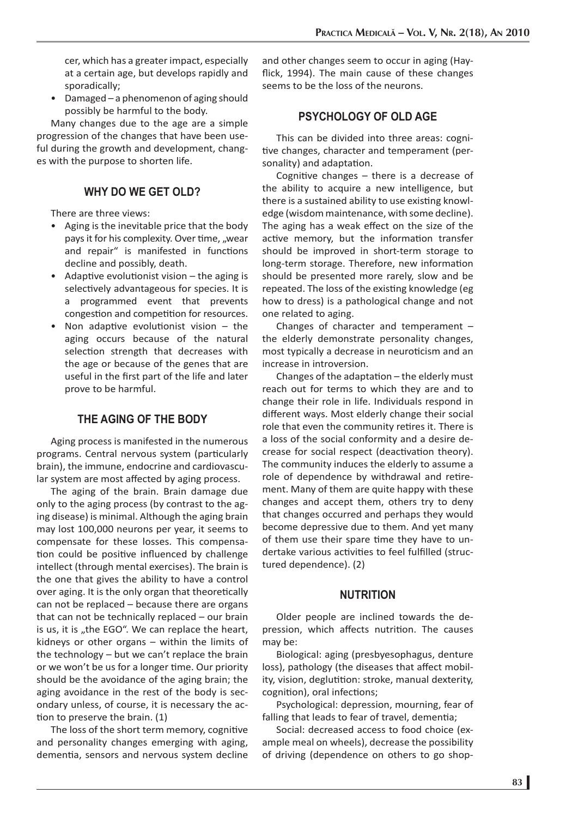cer, which has a greater impact, especially at a certain age, but develops rapidly and sporadically;

Damaged – a phenomenon of aging should possibly be harmful to the body. •

Many changes due to the age are a simple progression of the changes that have been useful during the growth and development, changes with the purpose to shorten life.

## **WHY DO WE GET OLD?**

There are three views:

- Aging is the inevitable price that the body pays it for his complexity. Over time, "wear and repair" is manifested in functions decline and possibly, death.
- Adaptive evolutionist vision  $-$  the aging is selectively advantageous for species. It is a programmed event that prevents congestion and competition for resources.
- Non adaptive evolutionist vision the aging occurs because of the natural selection strength that decreases with the age or because of the genes that are useful in the first part of the life and later prove to be harmful.

# **THE AGING OF THE BODY**

Aging process is manifested in the numerous programs. Central nervous system (particularly brain), the immune, endocrine and cardiovascular system are most affected by aging process.

The aging of the brain. Brain damage due only to the aging process (by contrast to the aging disease) is minimal. Although the aging brain may lost 100,000 neurons per year, it seems to compensate for these losses. This compensation could be positive influenced by challenge intellect (through mental exercises). The brain is the one that gives the ability to have a control over aging. It is the only organ that theoretically can not be replaced – because there are organs that can not be technically replaced – our brain is us, it is "the EGO". We can replace the heart, kidneys or other organs – within the limits of the technology – but we can't replace the brain or we won't be us for a longer time. Our priority should be the avoidance of the aging brain; the aging avoidance in the rest of the body is secondary unless, of course, it is necessary the action to preserve the brain.  $(1)$ 

The loss of the short term memory, cognitive and personality changes emerging with aging, dementia, sensors and nervous system decline and other changes seem to occur in aging (Hayflick, 1994). The main cause of these changes seems to be the loss of the neurons.

## **PSYCHOLOGY OF OLD AGE**

This can be divided into three areas: cognitive changes, character and temperament (personality) and adaptation.

Cognitive changes  $-$  there is a decrease of the ability to acquire a new intelligence, but there is a sustained ability to use existing knowledge (wisdom maintenance, with some decline). The aging has a weak effect on the size of the active memory, but the information transfer should be improved in short-term storage to long-term storage. Therefore, new information should be presented more rarely, slow and be repeated. The loss of the existing knowledge (eg how to dress) is a pathological change and not one related to aging.

Changes of character and temperament – the elderly demonstrate personality changes, most typically a decrease in neuroticism and an increase in introversion.

Changes of the adaptation  $-$  the elderly must reach out for terms to which they are and to change their role in life. Individuals respond in different ways. Most elderly change their social role that even the community retires it. There is a loss of the social conformity and a desire decrease for social respect (deactivation theory). The community induces the elderly to assume a role of dependence by withdrawal and retirement. Many of them are quite happy with these changes and accept them, others try to deny that changes occurred and perhaps they would become depressive due to them. And yet many of them use their spare time they have to undertake various activities to feel fulfilled (structured dependence). (2)

#### **NUTRITION**

Older people are inclined towards the depression, which affects nutrition. The causes may be:

Biological: aging (presbyesophagus, denture loss), pathology (the diseases that affect mobility, vision, deglutition: stroke, manual dexterity, cognition), oral infections;

Psychological: depression, mourning, fear of falling that leads to fear of travel, dementia;

Social: decreased access to food choice (example meal on wheels), decrease the possibility of driving (dependence on others to go shop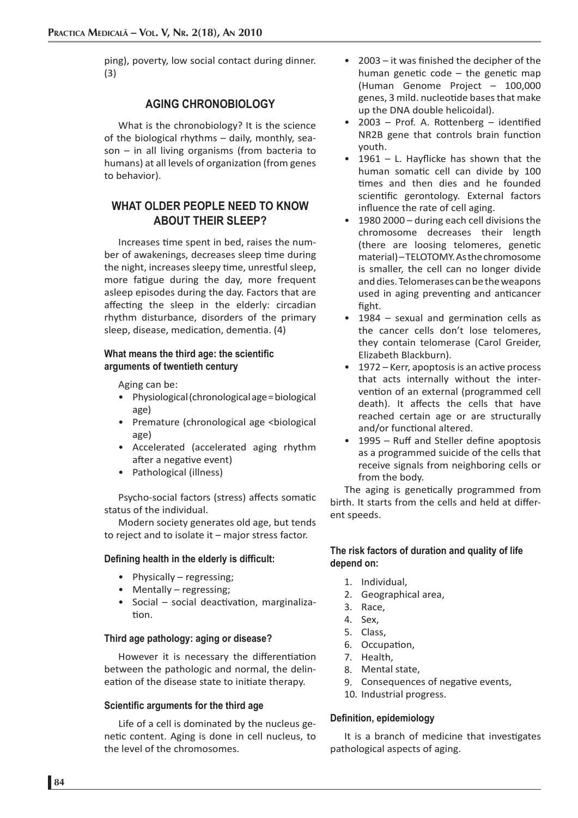ping), poverty, low social contact during dinner. (3)

## **AGING CHRONOBIOLOGY**

What is the chronobiology? It is the science of the biological rhythms – daily, monthly, season – in all living organisms (from bacteria to humans) at all levels of organization (from genes to behavior).

# **WHAT OLDER PEOPLE NEED TO KNOW ABOUT THEIR SLEEP?**

Increases time spent in bed, raises the number of awakenings, decreases sleep time during the night, increases sleepy time, unrestful sleep, more fatigue during the day, more frequent asleep episodes during the day. Factors that are affecting the sleep in the elderly: circadian rhythm disturbance, disorders of the primary sleep, disease, medication, dementia. (4)

#### **What means the third age: the scientific arguments of twentieth century**

Aging can be:

- Physiological (chronological age = biological age)
- Premature (chronological age <biological age)
- Accelerated (accelerated aging rhythm after a negative event)
- Pathological (illness)

Psycho-social factors (stress) affects somatic status of the individual.

Modern society generates old age, but tends to reject and to isolate it – major stress factor.

#### **Defining health in the elderly is difficult:**

- Physically regressing;
- Mentally regressing;
- Social social deactivation, marginalization.

#### **Third age pathology: aging or disease?**

However it is necessary the differentiation between the pathologic and normal, the delineation of the disease state to initiate therapy.

#### **Scientific arguments for the third age**

Life of a cell is dominated by the nucleus genetic content. Aging is done in cell nucleus, to the level of the chromosomes.

- $2003 it$  was finished the decipher of the human genetic code  $-$  the genetic map (Human Genome Project – 100,000 genes, 3 mild. nucleotide bases that make up the DNA double helicoidal).
- $2003$  Prof. A. Rottenberg identified NR2B gene that controls brain function youth. •
- $1961$  L. Hayflicke has shown that the human somatic cell can divide by 100 times and then dies and he founded scientific gerontology. External factors influence the rate of cell aging. •
- 1980 2000 during each cell divisions the chromosome decreases their length (there are loosing telomeres, genetic material) – TELOTOMY. As the chromosome is smaller, the cell can no longer divide and dies. Telomerases can be the weapons used in aging preventing and anticancer fight. •
- $1984$  sexual and germination cells as the cancer cells don't lose telomeres, they contain telomerase (Carol Greider, Elizabeth Blackburn). •
- 1972 Kerr, apoptosis is an active process that acts internally without the intervention of an external (programmed cell death). It affects the cells that have reached certain age or are structurally and/or functional altered. •
- 1995 Ruff and Steller define apoptosis as a programmed suicide of the cells that receive signals from neighboring cells or from the body.

The aging is genetically programmed from birth. It starts from the cells and held at different speeds.

## **The risk factors of duration and quality of life depend on:**

- Individual, 1.
- Geographical area, 2.
- 3. Race,
- Sex, 4.
- Class, 5.
- 6. Occupation,
- 7. Health,
- Mental state, 8.
- 9. Consequences of negative events,
- 10. Industrial progress.

## **Defi nition, epidemiology**

It is a branch of medicine that investigates pathological aspects of aging.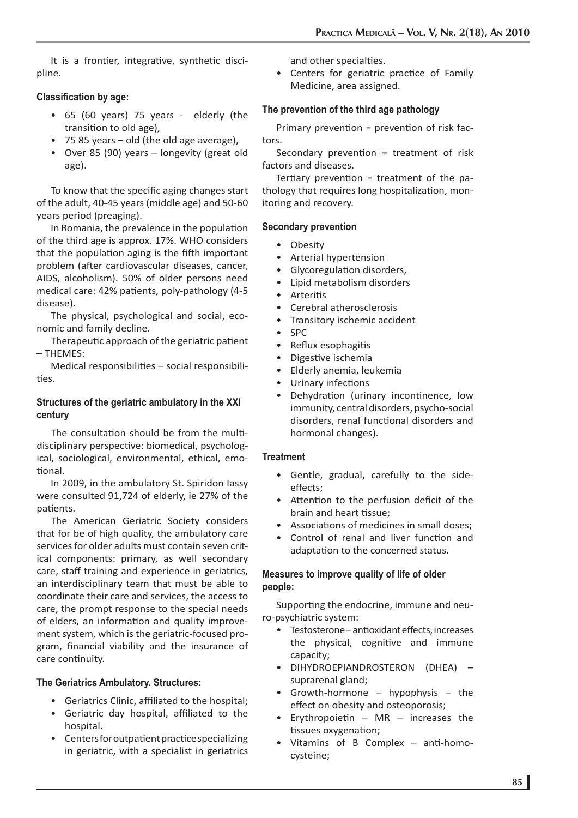It is a frontier, integrative, synthetic discipline.

## **Classification by age:**

- 65 (60 years) 75 years elderly (the transition to old age),
- 75 85 years old (the old age average), •
- Over 85 (90) years longevity (great old age).

To know that the specific aging changes start of the adult, 40-45 years (middle age) and 50-60 years period (preaging).

In Romania, the prevalence in the population of the third age is approx. 17%. WHO considers that the population aging is the fifth important problem (after cardiovascular diseases, cancer, AIDS, alcoholism). 50% of older persons need medical care: 42% patients, poly-pathology (4-5 disease).

The physical, psychological and social, economic and family decline.

Therapeutic approach of the geriatric patient – THEMES:

Medical responsibilities  $-$  social responsibilities.

## **Structures of the geriatric ambulatory in the XXI century**

The consultation should be from the multidisciplinary perspective: biomedical, psychological, sociological, environmental, ethical, emotional.

In 2009, in the ambulatory St. Spiridon Iassy were consulted 91,724 of elderly, ie 27% of the patients.

The American Geriatric Society considers that for be of high quality, the ambulatory care services for older adults must contain seven critical components: primary, as well secondary care, staff training and experience in geriatrics, an interdisciplinary team that must be able to coordinate their care and services, the access to care, the prompt response to the special needs of elders, an information and quality improvement system, which is the geriatric-focused program, financial viability and the insurance of care continuity.

#### **The Geriatrics Ambulatory. Structures:**

- Geriatrics Clinic, affiliated to the hospital;
- Geriatric day hospital, affiliated to the hospital.
- Centers for outpatient practice specializing in geriatric, with a specialist in geriatrics

and other specialties.

Centers for geriatric practice of Family Medicine, area assigned. •

### **The prevention of the third age pathology**

Primary prevention = prevention of risk factors.

Secondary prevention = treatment of risk factors and diseases.

Tertiary prevention = treatment of the pathology that requires long hospitalization, monitoring and recovery.

#### **Secondary prevention**

- Obesity
- Arterial hypertension •
- Glycoregulation disorders,
- Lipid metabolism disorders •
- Arteritis
- Cerebral atherosclerosis •
- Transitory ischemic accident •
- SPC •
- Reflux esophagitis •
- Digestive ischemia •
- Elderly anemia, leukemia •
- Urinary infections •
- Dehydration (urinary incontinence, low immunity, central disorders, psycho-social disorders, renal functional disorders and hormonal changes). •

#### **Treatment**

- Gentle, gradual, carefully to the side-• effects:
- Attention to the perfusion deficit of the brain and heart tissue:
- Associations of medicines in small doses;
- Control of renal and liver function and adaptation to the concerned status. •

## **Measures to improve quality of life of older people:**

Supporting the endocrine, immune and neuro-psychiatric system:

- Testosterone antioxidant effects, increases the physical, cognitive and immune capacity;
- DIHYDROEPIANDROSTERON (DHEA) suprarenal gland;
- Growth-hormone hypophysis the effect on obesity and osteoporosis; •
- Erythropoietin  $-$  MR  $-$  increases the tissues oxygenation; •
- Vitamins of B Complex  $-$  anti-homocysteine; •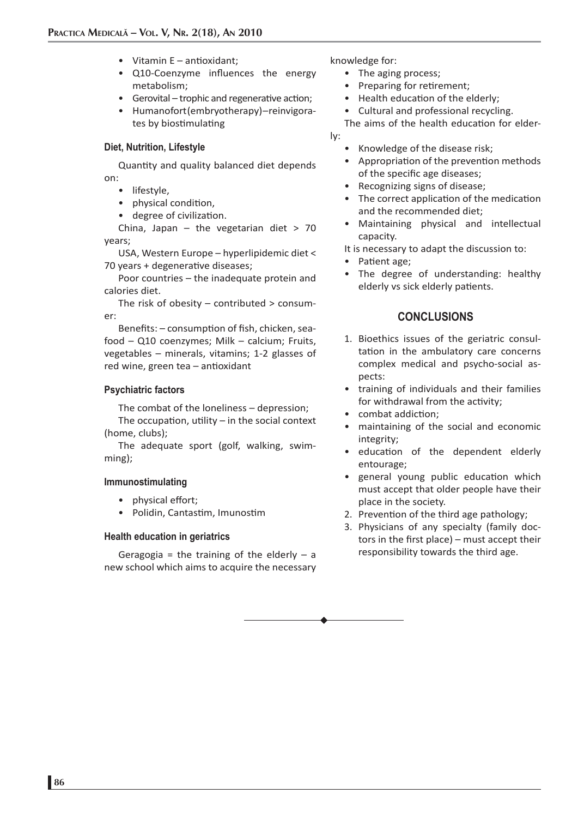- Vitamin E antioxidant;
- Q10-Coenzyme influences the energy metabolism;
- Gerovital trophic and regenerative action;
- Humanofort (embryotherapy) reinvigorates by biostimulating

#### **Diet, Nutrition, Lifestyle**

Quantity and quality balanced diet depends on:

- lifestyle,
- physical condition,
- degree of civilization.

China, Japan – the vegetarian diet  $> 70$ years;

USA, Western Europe – hyperlipidemic diet < 70 years + degenerative diseases;

Poor countries – the inadequate protein and calories diet.

The risk of obesity – contributed > consumer:

Benefits: - consumption of fish, chicken, seafood – Q10 coenzymes; Milk – calcium; Fruits, vegetables – minerals, vitamins; 1-2 glasses of red wine, green tea  $-$  antioxidant

#### **Psychiatric factors**

The combat of the loneliness – depression;

The occupation, utility  $-$  in the social context (home, clubs);

The adequate sport (golf, walking, swimming);

#### **Immunostimulating**

- physical effort;
- Polidin, Cantastim, Imunostim

#### **Health education in geriatrics**

Geragogia = the training of the elderly  $-$  a new school which aims to acquire the necessary knowledge for:

- The aging process;
- Preparing for retirement;
- Health education of the elderly;
- Cultural and professional recycling. •

The aims of the health education for elderly:

- Knowledge of the disease risk; •
- Appropriation of the prevention methods of the specific age diseases;
- Recognizing signs of disease;
- The correct application of the medication and the recommended diet;
- Maintaining physical and intellectual capacity.

It is necessary to adapt the discussion to:

- Patient age;
- The degree of understanding: healthy elderly vs sick elderly patients.

## **CONCLUSIONS**

- 1. Bioethics issues of the geriatric consultation in the ambulatory care concerns complex medical and psycho-social aspects:
- training of individuals and their families for withdrawal from the activity;
- combat addiction; •
- maintaining of the social and economic integrity;
- education of the dependent elderly entourage;
- general young public education which must accept that older people have their place in the society.
- 2. Prevention of the third age pathology;
- 3. Physicians of any specialty (family doctors in the first place) – must accept their responsibility towards the third age.